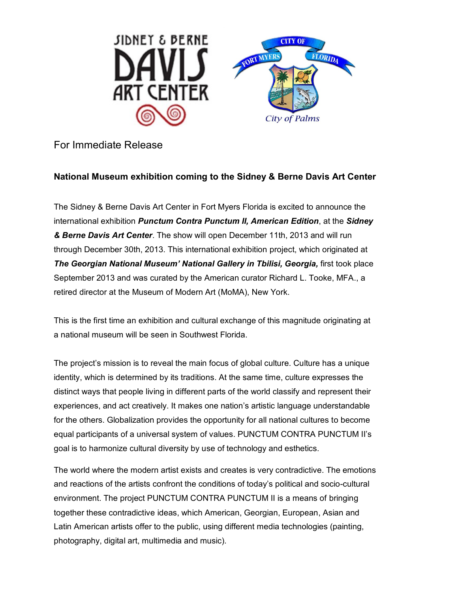

## For Immediate Release

## **National Museum exhibition coming to the Sidney & Berne Davis Art Center**

The Sidney & Berne Davis Art Center in Fort Myers Florida is excited to announce the international exhibition *Punctum Contra Punctum II, American Edition*, at the *Sidney & Berne Davis Art Center*. The show will open December 11th, 2013 and will run through December 30th, 2013. This international exhibition project, which originated at *The Georgian National Museum' National Gallery in Tbilisi, Georgia,* first took place September 2013 and was curated by the American curator Richard L. Tooke, MFA., a retired director at the Museum of Modern Art (MoMA), New York.

This is the first time an exhibition and cultural exchange of this magnitude originating at a national museum will be seen in Southwest Florida.

The project's mission is to reveal the main focus of global culture. Culture has a unique identity, which is determined by its traditions. At the same time, culture expresses the distinct ways that people living in different parts of the world classify and represent their experiences, and act creatively. It makes one nation's artistic language understandable for the others. Globalization provides the opportunity for all national cultures to become equal participants of a universal system of values. PUNCTUM CONTRA PUNCTUM II's goal is to harmonize cultural diversity by use of technology and esthetics.

The world where the modern artist exists and creates is very contradictive. The emotions and reactions of the artists confront the conditions of today's political and socio-cultural environment. The project PUNCTUM CONTRA PUNCTUM II is a means of bringing together these contradictive ideas, which American, Georgian, European, Asian and Latin American artists offer to the public, using different media technologies (painting, photography, digital art, multimedia and music).